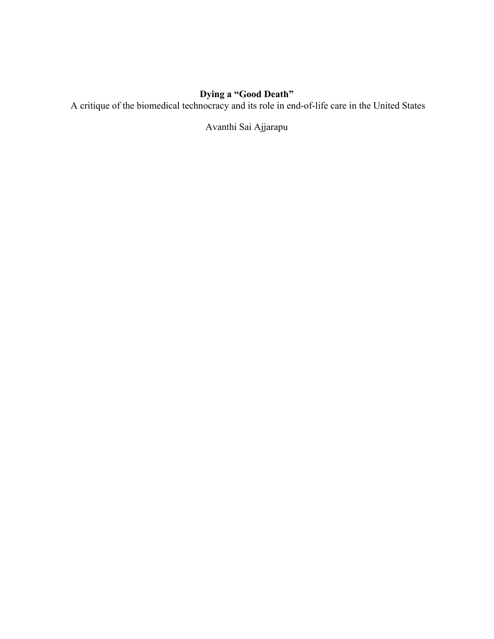# **Dying a "Good Death"**

A critique of the biomedical technocracy and its role in end-of-life care in the United States

Avanthi Sai Ajjarapu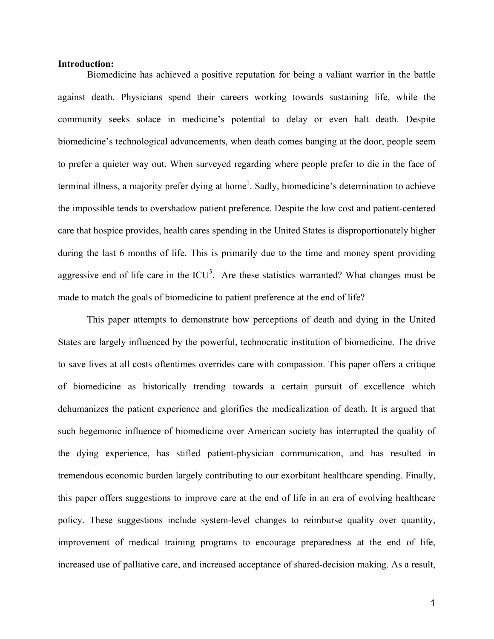#### **Introduction:**

Biomedicine has achieved a positive reputation for being a valiant warrior in the battle against death. Physicians spend their careers working towards sustaining life, while the community seeks solace in medicine's potential to delay or even halt death. Despite biomedicine's technological advancements, when death comes banging at the door, people seem to prefer a quieter way out. When surveyed regarding where people prefer to die in the face of terminal illness, a majority prefer dying at home<sup>1</sup>. Sadly, biomedicine's determination to achieve the impossible tends to overshadow patient preference. Despite the low cost and patient-centered care that hospice provides, health cares spending in the United States is disproportionately higher during the last 6 months of life. This is primarily due to the time and money spent providing aggressive end of life care in the  $ICU<sup>3</sup>$ . Are these statistics warranted? What changes must be made to match the goals of biomedicine to patient preference at the end of life?

This paper attempts to demonstrate how perceptions of death and dying in the United States are largely influenced by the powerful, technocratic institution of biomedicine. The drive to save lives at all costs oftentimes overrides care with compassion. This paper offers a critique of biomedicine as historically trending towards a certain pursuit of excellence which dehumanizes the patient experience and glorifies the medicalization of death. It is argued that such hegemonic influence of biomedicine over American society has interrupted the quality of the dying experience, has stifled patient-physician communication, and has resulted in tremendous economic burden largely contributing to our exorbitant healthcare spending. Finally, this paper offers suggestions to improve care at the end of life in an era of evolving healthcare policy. These suggestions include system-level changes to reimburse quality over quantity, improvement of medical training programs to encourage preparedness at the end of life, increased use of palliative care, and increased acceptance of shared-decision making. As a result,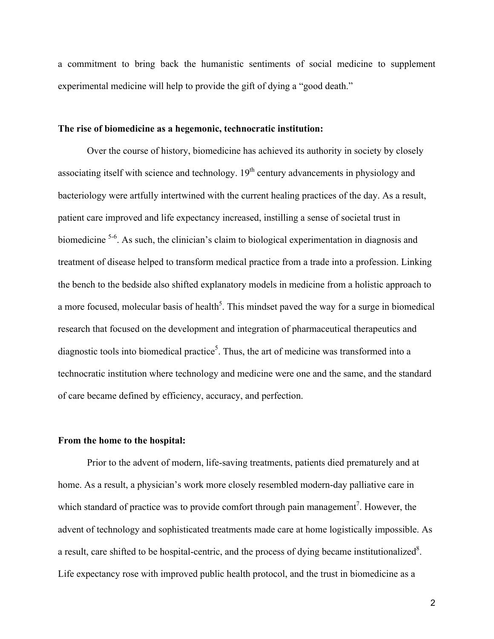a commitment to bring back the humanistic sentiments of social medicine to supplement experimental medicine will help to provide the gift of dying a "good death."

## **The rise of biomedicine as a hegemonic, technocratic institution:**

Over the course of history, biomedicine has achieved its authority in society by closely associating itself with science and technology.  $19<sup>th</sup>$  century advancements in physiology and bacteriology were artfully intertwined with the current healing practices of the day. As a result, patient care improved and life expectancy increased, instilling a sense of societal trust in biomedicine <sup>5-6</sup>. As such, the clinician's claim to biological experimentation in diagnosis and treatment of disease helped to transform medical practice from a trade into a profession. Linking the bench to the bedside also shifted explanatory models in medicine from a holistic approach to a more focused, molecular basis of health<sup>5</sup>. This mindset paved the way for a surge in biomedical research that focused on the development and integration of pharmaceutical therapeutics and diagnostic tools into biomedical practice<sup>5</sup>. Thus, the art of medicine was transformed into a technocratic institution where technology and medicine were one and the same, and the standard of care became defined by efficiency, accuracy, and perfection.

### **From the home to the hospital:**

Prior to the advent of modern, life-saving treatments, patients died prematurely and at home. As a result, a physician's work more closely resembled modern-day palliative care in which standard of practice was to provide comfort through pain management<sup>7</sup>. However, the advent of technology and sophisticated treatments made care at home logistically impossible. As a result, care shifted to be hospital-centric, and the process of dying became institutionalized $8$ . Life expectancy rose with improved public health protocol, and the trust in biomedicine as a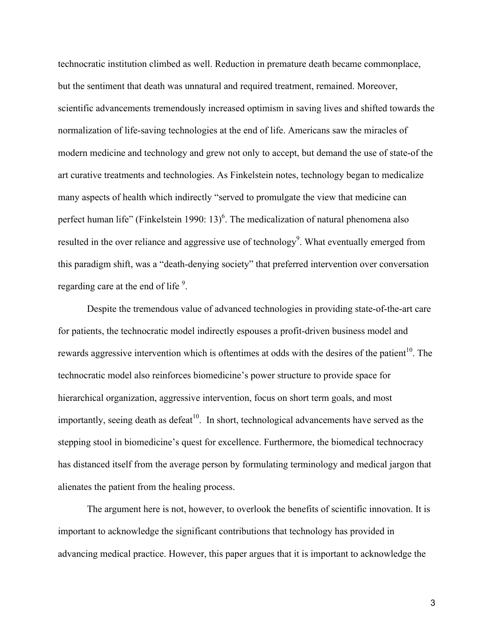technocratic institution climbed as well. Reduction in premature death became commonplace, but the sentiment that death was unnatural and required treatment, remained. Moreover, scientific advancements tremendously increased optimism in saving lives and shifted towards the normalization of life-saving technologies at the end of life. Americans saw the miracles of modern medicine and technology and grew not only to accept, but demand the use of state-of the art curative treatments and technologies. As Finkelstein notes, technology began to medicalize many aspects of health which indirectly "served to promulgate the view that medicine can perfect human life" (Finkelstein 1990: 13)<sup>6</sup>. The medicalization of natural phenomena also resulted in the over reliance and aggressive use of technology<sup>9</sup>. What eventually emerged from this paradigm shift, was a "death-denying society" that preferred intervention over conversation regarding care at the end of life<sup>9</sup>.

Despite the tremendous value of advanced technologies in providing state-of-the-art care for patients, the technocratic model indirectly espouses a profit-driven business model and rewards aggressive intervention which is oftentimes at odds with the desires of the patient<sup>10</sup>. The technocratic model also reinforces biomedicine's power structure to provide space for hierarchical organization, aggressive intervention, focus on short term goals, and most importantly, seeing death as defeat<sup>10</sup>. In short, technological advancements have served as the stepping stool in biomedicine's quest for excellence. Furthermore, the biomedical technocracy has distanced itself from the average person by formulating terminology and medical jargon that alienates the patient from the healing process.

The argument here is not, however, to overlook the benefits of scientific innovation. It is important to acknowledge the significant contributions that technology has provided in advancing medical practice. However, this paper argues that it is important to acknowledge the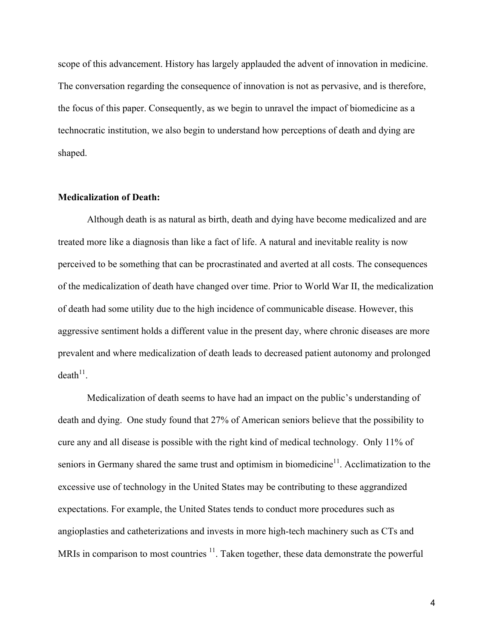scope of this advancement. History has largely applauded the advent of innovation in medicine. The conversation regarding the consequence of innovation is not as pervasive, and is therefore, the focus of this paper. Consequently, as we begin to unravel the impact of biomedicine as a technocratic institution, we also begin to understand how perceptions of death and dying are shaped.

# **Medicalization of Death:**

Although death is as natural as birth, death and dying have become medicalized and are treated more like a diagnosis than like a fact of life. A natural and inevitable reality is now perceived to be something that can be procrastinated and averted at all costs. The consequences of the medicalization of death have changed over time. Prior to World War II, the medicalization of death had some utility due to the high incidence of communicable disease. However, this aggressive sentiment holds a different value in the present day, where chronic diseases are more prevalent and where medicalization of death leads to decreased patient autonomy and prolonged  $death^{11}$ .

Medicalization of death seems to have had an impact on the public's understanding of death and dying. One study found that 27% of American seniors believe that the possibility to cure any and all disease is possible with the right kind of medical technology. Only 11% of seniors in Germany shared the same trust and optimism in biomedicine<sup>11</sup>. Acclimatization to the excessive use of technology in the United States may be contributing to these aggrandized expectations. For example, the United States tends to conduct more procedures such as angioplasties and catheterizations and invests in more high-tech machinery such as CTs and MRIs in comparison to most countries  $<sup>11</sup>$ . Taken together, these data demonstrate the powerful</sup>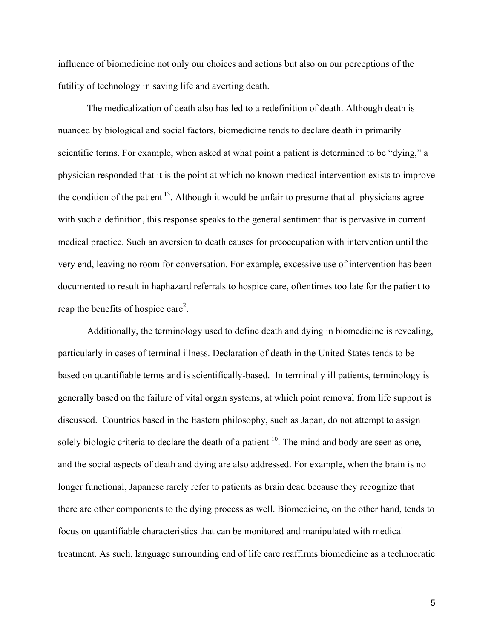influence of biomedicine not only our choices and actions but also on our perceptions of the futility of technology in saving life and averting death.

The medicalization of death also has led to a redefinition of death. Although death is nuanced by biological and social factors, biomedicine tends to declare death in primarily scientific terms. For example, when asked at what point a patient is determined to be "dying," a physician responded that it is the point at which no known medical intervention exists to improve the condition of the patient  $13$ . Although it would be unfair to presume that all physicians agree with such a definition, this response speaks to the general sentiment that is pervasive in current medical practice. Such an aversion to death causes for preoccupation with intervention until the very end, leaving no room for conversation. For example, excessive use of intervention has been documented to result in haphazard referrals to hospice care, oftentimes too late for the patient to reap the benefits of hospice care<sup>2</sup>.

Additionally, the terminology used to define death and dying in biomedicine is revealing, particularly in cases of terminal illness. Declaration of death in the United States tends to be based on quantifiable terms and is scientifically-based. In terminally ill patients, terminology is generally based on the failure of vital organ systems, at which point removal from life support is discussed. Countries based in the Eastern philosophy, such as Japan, do not attempt to assign solely biologic criteria to declare the death of a patient  $10$ . The mind and body are seen as one, and the social aspects of death and dying are also addressed. For example, when the brain is no longer functional, Japanese rarely refer to patients as brain dead because they recognize that there are other components to the dying process as well. Biomedicine, on the other hand, tends to focus on quantifiable characteristics that can be monitored and manipulated with medical treatment. As such, language surrounding end of life care reaffirms biomedicine as a technocratic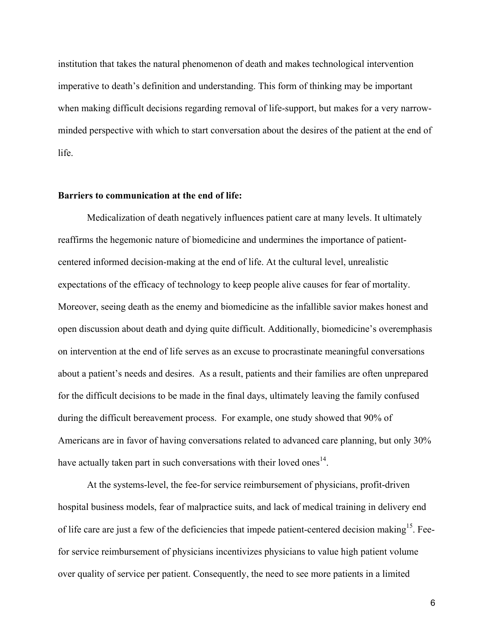institution that takes the natural phenomenon of death and makes technological intervention imperative to death's definition and understanding. This form of thinking may be important when making difficult decisions regarding removal of life-support, but makes for a very narrowminded perspective with which to start conversation about the desires of the patient at the end of life.

## **Barriers to communication at the end of life:**

Medicalization of death negatively influences patient care at many levels. It ultimately reaffirms the hegemonic nature of biomedicine and undermines the importance of patientcentered informed decision-making at the end of life. At the cultural level, unrealistic expectations of the efficacy of technology to keep people alive causes for fear of mortality. Moreover, seeing death as the enemy and biomedicine as the infallible savior makes honest and open discussion about death and dying quite difficult. Additionally, biomedicine's overemphasis on intervention at the end of life serves as an excuse to procrastinate meaningful conversations about a patient's needs and desires. As a result, patients and their families are often unprepared for the difficult decisions to be made in the final days, ultimately leaving the family confused during the difficult bereavement process. For example, one study showed that 90% of Americans are in favor of having conversations related to advanced care planning, but only 30% have actually taken part in such conversations with their loved ones  $14$ .

At the systems-level, the fee-for service reimbursement of physicians, profit-driven hospital business models, fear of malpractice suits, and lack of medical training in delivery end of life care are just a few of the deficiencies that impede patient-centered decision making<sup>15</sup>. Feefor service reimbursement of physicians incentivizes physicians to value high patient volume over quality of service per patient. Consequently, the need to see more patients in a limited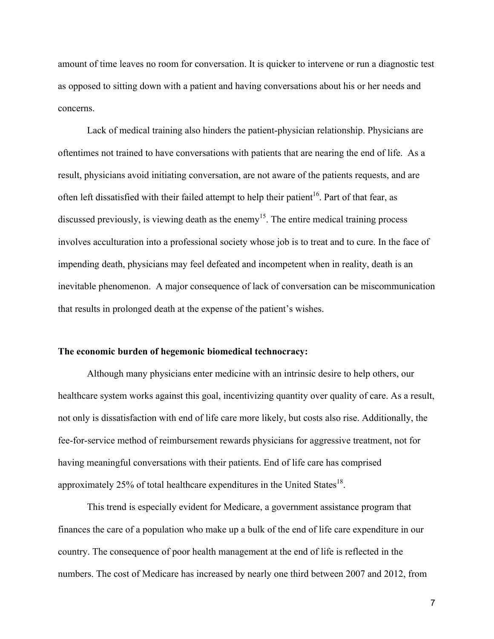amount of time leaves no room for conversation. It is quicker to intervene or run a diagnostic test as opposed to sitting down with a patient and having conversations about his or her needs and concerns.

Lack of medical training also hinders the patient-physician relationship. Physicians are oftentimes not trained to have conversations with patients that are nearing the end of life. As a result, physicians avoid initiating conversation, are not aware of the patients requests, and are often left dissatisfied with their failed attempt to help their patient<sup>16</sup>. Part of that fear, as discussed previously, is viewing death as the enemy<sup>15</sup>. The entire medical training process involves acculturation into a professional society whose job is to treat and to cure. In the face of impending death, physicians may feel defeated and incompetent when in reality, death is an inevitable phenomenon. A major consequence of lack of conversation can be miscommunication that results in prolonged death at the expense of the patient's wishes.

### **The economic burden of hegemonic biomedical technocracy:**

Although many physicians enter medicine with an intrinsic desire to help others, our healthcare system works against this goal, incentivizing quantity over quality of care. As a result, not only is dissatisfaction with end of life care more likely, but costs also rise. Additionally, the fee-for-service method of reimbursement rewards physicians for aggressive treatment, not for having meaningful conversations with their patients. End of life care has comprised approximately  $25\%$  of total healthcare expenditures in the United States<sup>18</sup>.

This trend is especially evident for Medicare, a government assistance program that finances the care of a population who make up a bulk of the end of life care expenditure in our country. The consequence of poor health management at the end of life is reflected in the numbers. The cost of Medicare has increased by nearly one third between 2007 and 2012, from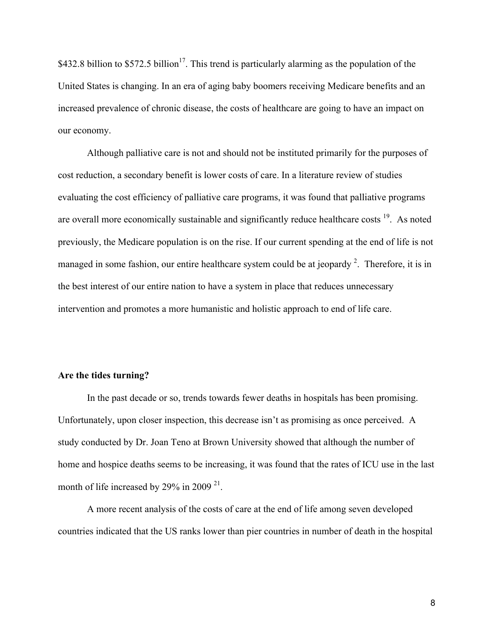\$432.8 billion to \$572.5 billion<sup>17</sup>. This trend is particularly alarming as the population of the United States is changing. In an era of aging baby boomers receiving Medicare benefits and an increased prevalence of chronic disease, the costs of healthcare are going to have an impact on our economy.

Although palliative care is not and should not be instituted primarily for the purposes of cost reduction, a secondary benefit is lower costs of care. In a literature review of studies evaluating the cost efficiency of palliative care programs, it was found that palliative programs are overall more economically sustainable and significantly reduce healthcare costs <sup>19</sup>. As noted previously, the Medicare population is on the rise. If our current spending at the end of life is not managed in some fashion, our entire healthcare system could be at jeopardy  $2$ . Therefore, it is in the best interest of our entire nation to have a system in place that reduces unnecessary intervention and promotes a more humanistic and holistic approach to end of life care.

#### **Are the tides turning?**

In the past decade or so, trends towards fewer deaths in hospitals has been promising. Unfortunately, upon closer inspection, this decrease isn't as promising as once perceived. A study conducted by Dr. Joan Teno at Brown University showed that although the number of home and hospice deaths seems to be increasing, it was found that the rates of ICU use in the last month of life increased by 29% in 2009<sup>21</sup>.

A more recent analysis of the costs of care at the end of life among seven developed countries indicated that the US ranks lower than pier countries in number of death in the hospital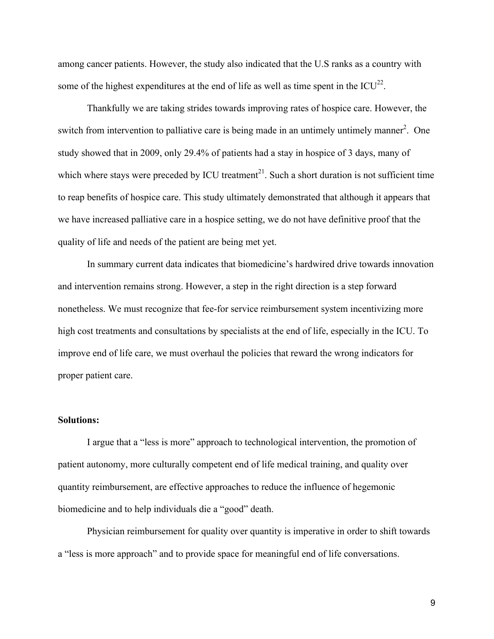among cancer patients. However, the study also indicated that the U.S ranks as a country with some of the highest expenditures at the end of life as well as time spent in the  $ICU^{22}$ .

Thankfully we are taking strides towards improving rates of hospice care. However, the switch from intervention to palliative care is being made in an untimely untimely manner<sup>2</sup>. One study showed that in 2009, only 29.4% of patients had a stay in hospice of 3 days, many of which where stays were preceded by ICU treatment<sup>21</sup>. Such a short duration is not sufficient time to reap benefits of hospice care. This study ultimately demonstrated that although it appears that we have increased palliative care in a hospice setting, we do not have definitive proof that the quality of life and needs of the patient are being met yet.

In summary current data indicates that biomedicine's hardwired drive towards innovation and intervention remains strong. However, a step in the right direction is a step forward nonetheless. We must recognize that fee-for service reimbursement system incentivizing more high cost treatments and consultations by specialists at the end of life, especially in the ICU. To improve end of life care, we must overhaul the policies that reward the wrong indicators for proper patient care.

### **Solutions:**

I argue that a "less is more" approach to technological intervention, the promotion of patient autonomy, more culturally competent end of life medical training, and quality over quantity reimbursement, are effective approaches to reduce the influence of hegemonic biomedicine and to help individuals die a "good" death.

Physician reimbursement for quality over quantity is imperative in order to shift towards a "less is more approach" and to provide space for meaningful end of life conversations.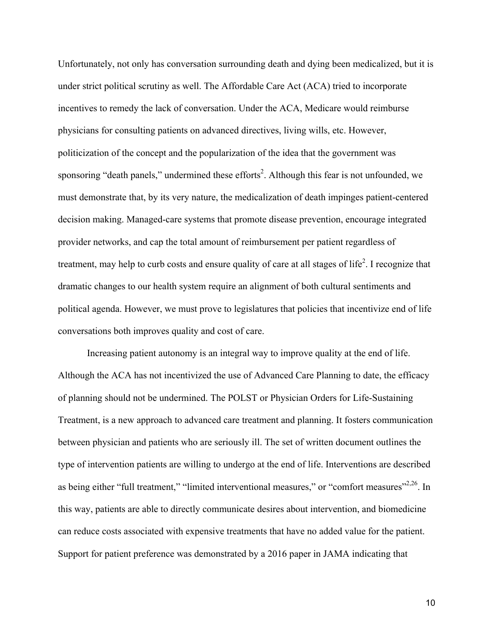Unfortunately, not only has conversation surrounding death and dying been medicalized, but it is under strict political scrutiny as well. The Affordable Care Act (ACA) tried to incorporate incentives to remedy the lack of conversation. Under the ACA, Medicare would reimburse physicians for consulting patients on advanced directives, living wills, etc. However, politicization of the concept and the popularization of the idea that the government was sponsoring "death panels," undermined these efforts<sup>2</sup>. Although this fear is not unfounded, we must demonstrate that, by its very nature, the medicalization of death impinges patient-centered decision making. Managed-care systems that promote disease prevention, encourage integrated provider networks, and cap the total amount of reimbursement per patient regardless of treatment, may help to curb costs and ensure quality of care at all stages of life<sup>2</sup>. I recognize that dramatic changes to our health system require an alignment of both cultural sentiments and political agenda. However, we must prove to legislatures that policies that incentivize end of life conversations both improves quality and cost of care.

Increasing patient autonomy is an integral way to improve quality at the end of life. Although the ACA has not incentivized the use of Advanced Care Planning to date, the efficacy of planning should not be undermined. The POLST or Physician Orders for Life-Sustaining Treatment, is a new approach to advanced care treatment and planning. It fosters communication between physician and patients who are seriously ill. The set of written document outlines the type of intervention patients are willing to undergo at the end of life. Interventions are described as being either "full treatment," "limited interventional measures," or "comfort measures"<sup>2,26</sup>. In this way, patients are able to directly communicate desires about intervention, and biomedicine can reduce costs associated with expensive treatments that have no added value for the patient. Support for patient preference was demonstrated by a 2016 paper in JAMA indicating that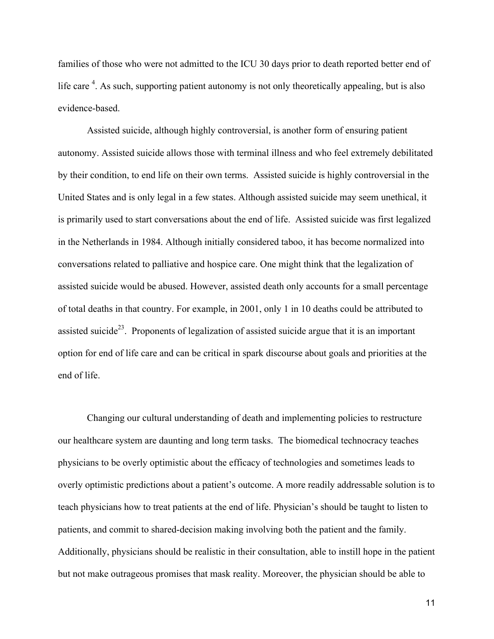families of those who were not admitted to the ICU 30 days prior to death reported better end of life care  $4$ . As such, supporting patient autonomy is not only theoretically appealing, but is also evidence-based.

Assisted suicide, although highly controversial, is another form of ensuring patient autonomy. Assisted suicide allows those with terminal illness and who feel extremely debilitated by their condition, to end life on their own terms. Assisted suicide is highly controversial in the United States and is only legal in a few states. Although assisted suicide may seem unethical, it is primarily used to start conversations about the end of life. Assisted suicide was first legalized in the Netherlands in 1984. Although initially considered taboo, it has become normalized into conversations related to palliative and hospice care. One might think that the legalization of assisted suicide would be abused. However, assisted death only accounts for a small percentage of total deaths in that country. For example, in 2001, only 1 in 10 deaths could be attributed to assisted suicide<sup>23</sup>. Proponents of legalization of assisted suicide argue that it is an important option for end of life care and can be critical in spark discourse about goals and priorities at the end of life.

Changing our cultural understanding of death and implementing policies to restructure our healthcare system are daunting and long term tasks. The biomedical technocracy teaches physicians to be overly optimistic about the efficacy of technologies and sometimes leads to overly optimistic predictions about a patient's outcome. A more readily addressable solution is to teach physicians how to treat patients at the end of life. Physician's should be taught to listen to patients, and commit to shared-decision making involving both the patient and the family. Additionally, physicians should be realistic in their consultation, able to instill hope in the patient but not make outrageous promises that mask reality. Moreover, the physician should be able to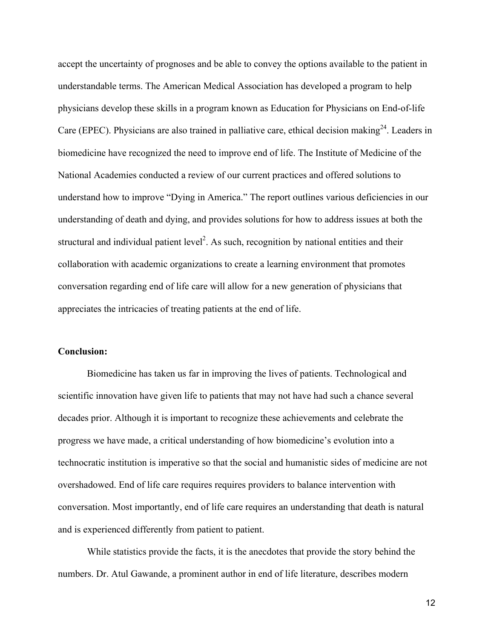accept the uncertainty of prognoses and be able to convey the options available to the patient in understandable terms. The American Medical Association has developed a program to help physicians develop these skills in a program known as Education for Physicians on End-of-life Care (EPEC). Physicians are also trained in palliative care, ethical decision making<sup>24</sup>. Leaders in biomedicine have recognized the need to improve end of life. The Institute of Medicine of the National Academies conducted a review of our current practices and offered solutions to understand how to improve "Dying in America." The report outlines various deficiencies in our understanding of death and dying, and provides solutions for how to address issues at both the structural and individual patient level<sup>2</sup>. As such, recognition by national entities and their collaboration with academic organizations to create a learning environment that promotes conversation regarding end of life care will allow for a new generation of physicians that appreciates the intricacies of treating patients at the end of life.

### **Conclusion:**

Biomedicine has taken us far in improving the lives of patients. Technological and scientific innovation have given life to patients that may not have had such a chance several decades prior. Although it is important to recognize these achievements and celebrate the progress we have made, a critical understanding of how biomedicine's evolution into a technocratic institution is imperative so that the social and humanistic sides of medicine are not overshadowed. End of life care requires requires providers to balance intervention with conversation. Most importantly, end of life care requires an understanding that death is natural and is experienced differently from patient to patient.

While statistics provide the facts, it is the anecdotes that provide the story behind the numbers. Dr. Atul Gawande, a prominent author in end of life literature, describes modern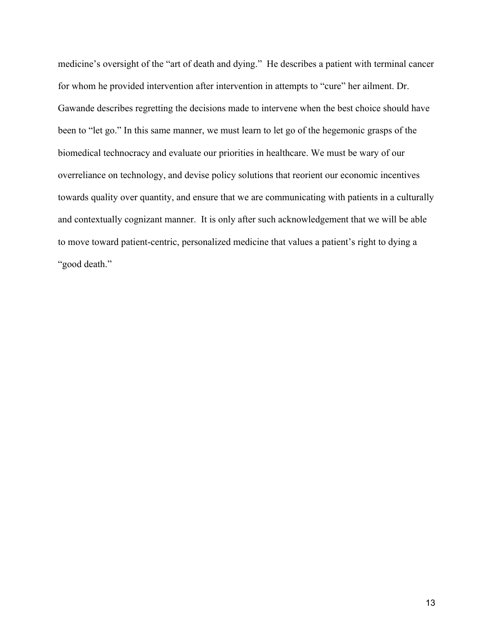medicine's oversight of the "art of death and dying." He describes a patient with terminal cancer for whom he provided intervention after intervention in attempts to "cure" her ailment. Dr. Gawande describes regretting the decisions made to intervene when the best choice should have been to "let go." In this same manner, we must learn to let go of the hegemonic grasps of the biomedical technocracy and evaluate our priorities in healthcare. We must be wary of our overreliance on technology, and devise policy solutions that reorient our economic incentives towards quality over quantity, and ensure that we are communicating with patients in a culturally and contextually cognizant manner. It is only after such acknowledgement that we will be able to move toward patient-centric, personalized medicine that values a patient's right to dying a "good death."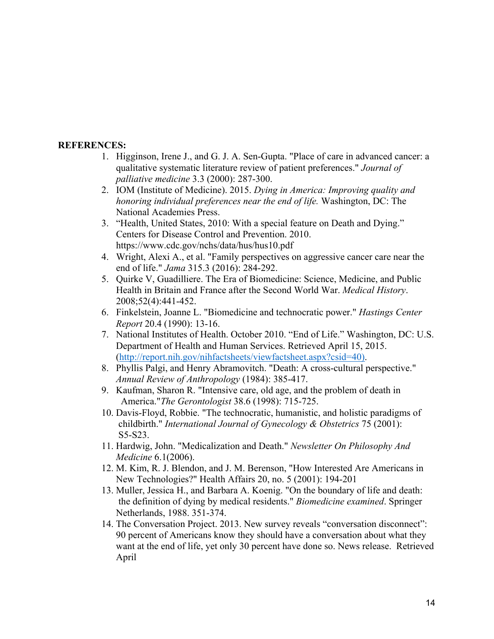## **REFERENCES:**

- 1. Higginson, Irene J., and G. J. A. Sen-Gupta. "Place of care in advanced cancer: a qualitative systematic literature review of patient preferences." *Journal of palliative medicine* 3.3 (2000): 287-300.
- 2. IOM (Institute of Medicine). 2015. *Dying in America: Improving quality and honoring individual preferences near the end of life.* Washington, DC: The National Academies Press.
- 3. "Health, United States, 2010: With a special feature on Death and Dying." Centers for Disease Control and Prevention. 2010. https://www.cdc.gov/nchs/data/hus/hus10.pdf
- 4. Wright, Alexi A., et al. "Family perspectives on aggressive cancer care near the end of life." *Jama* 315.3 (2016): 284-292.
- 5. Quirke V, Guadilliere. The Era of Biomedicine: Science, Medicine, and Public Health in Britain and France after the Second World War. *Medical History*. 2008;52(4):441-452.
- 6. Finkelstein, Joanne L. "Biomedicine and technocratic power." *Hastings Center Report* 20.4 (1990): 13-16.
- 7. National Institutes of Health. October 2010. "End of Life." Washington, DC: U.S. Department of Health and Human Services. Retrieved April 15, 2015. (http://report.nih.gov/nihfactsheets/viewfactsheet.aspx?csid=40).
- 8. Phyllis Palgi, and Henry Abramovitch. "Death: A cross-cultural perspective." *Annual Review of Anthropology* (1984): 385-417.
- 9. Kaufman, Sharon R. "Intensive care, old age, and the problem of death in America."*The Gerontologist* 38.6 (1998): 715-725.
- 10. Davis-Floyd, Robbie. "The technocratic, humanistic, and holistic paradigms of childbirth." *International Journal of Gynecology & Obstetrics* 75 (2001): S5-S23.
- 11. Hardwig, John. "Medicalization and Death." *Newsletter On Philosophy And Medicine* 6.1(2006).
- 12. M. Kim, R. J. Blendon, and J. M. Berenson, "How Interested Are Americans in New Technologies?" Health Affairs 20, no. 5 (2001): 194-201
- 13. Muller, Jessica H., and Barbara A. Koenig. "On the boundary of life and death: the definition of dying by medical residents." *Biomedicine examined*. Springer Netherlands, 1988. 351-374.
- 14. The Conversation Project. 2013. New survey reveals "conversation disconnect": 90 percent of Americans know they should have a conversation about what they want at the end of life, yet only 30 percent have done so. News release. Retrieved April